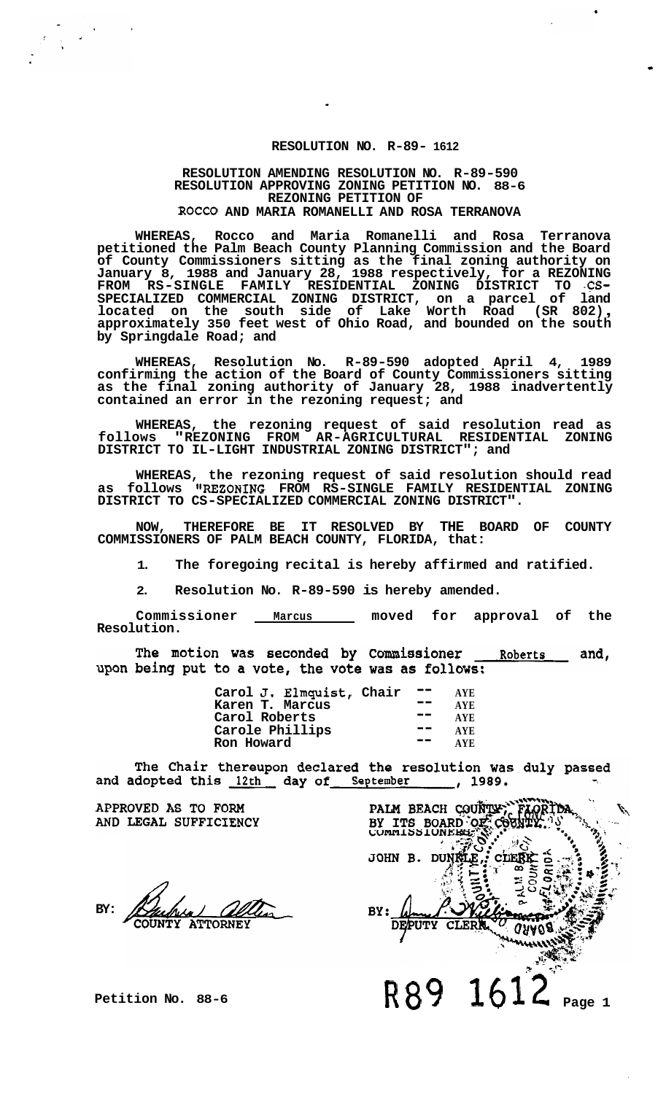## **RESOLUTION NO. R-89- 1612**

### **RESOLUTION AMENDING RESOLUTION NO. R-89-590 RESOLUTION APPROVING ZONING PETITION NO. 88-6 ROCCO AND MARIA ROMANELLI AND ROSA TERRANOVA REZONING PETITION OF**

**WHEREAS, Rocco and Maria Romanelli and Rosa Terranova petitioned the Palm Beach County Planning Commission and the Board of County Commissioners sitting as the final zoning authority on January 8, 1988 and January 28, 1988 respectively, for a REZONING FROM RS-SINGLE FAMILY RESIDENTIAL ZONING DISTRICT TO -CS-SPECIALIZED COMMERCIAL ZONING DISTRICT, on a parcel of land located on the south side of Lake Worth Road (SR 802)** , **approximately 350 feet west of Ohio Road, and bounded on the south by Springdale Road; and** 

**WHEREAS, Resolution No. R-89-590 adopted April 4, 1989 confirming the action of the Board of County Commissioners sitting as the final zoning authority of January 28, 1988 inadvertently contained an error in the rezoning request; and** 

**WHEREAS, the rezoning request of said resolution read as follows "REZONING FROM AR-AGRICULTURAL RESIDENTIAL ZONING DISTRICT TO IL-LIGHT INDUSTRIAL ZONING DISTRICT"; and** 

**WHEREAS, the rezoning request of said resolution should read as follows WEZONING FROM RS-SINGLE FAMILY RESIDENTIAL ZONING DISTRICT TO CS-SPECIALIZED COMMERCIAL ZONING DISTRICT".** 

**NOW, THEREFORE BE IT RESOLVED BY THE BOARD OF COUNTY COMMISSIONERS OF PALM BEACH COUNTY, FLORIDA, that:** 

**1. The foregoing recital is hereby affirmed and ratified.** 

**2. Resolution No. R-89-590 is hereby amended.** 

**Commissioner Marcus moved for approval of the Resolution.** 

The motion was seconded by Commissioner and, Roberts upon being put to a vote, the vote was as follows:

| Carol J. Elmquist, Chair |     | AYE.       |
|--------------------------|-----|------------|
| Karen T. Marcus          | - - | <b>AYE</b> |
| Carol Roberts            | --  | <b>AYE</b> |
| Carole Phillips          |     | AYE.       |
| <b>Ron Howard</b>        |     | AYE.       |
|                          |     |            |

The Chair thereupon declared the resolution was duly passed  $\frac{1989}{1000}$ and adopted this 12th day of September

APPROVED AS TO FORM AND LEGAL SUFFICIENCY

**BY: ATTORNEY** 

**Petition No. 88-6** 

PALM BEACH COUNTY; FLORIDA JOHN B. DUNGLE, CLEBE 2 ่า **THE REAL**  $\hat{\rho}$ hhu BY: **DEPLITY CLERK**  $0000$ R89 1612 **Page 1**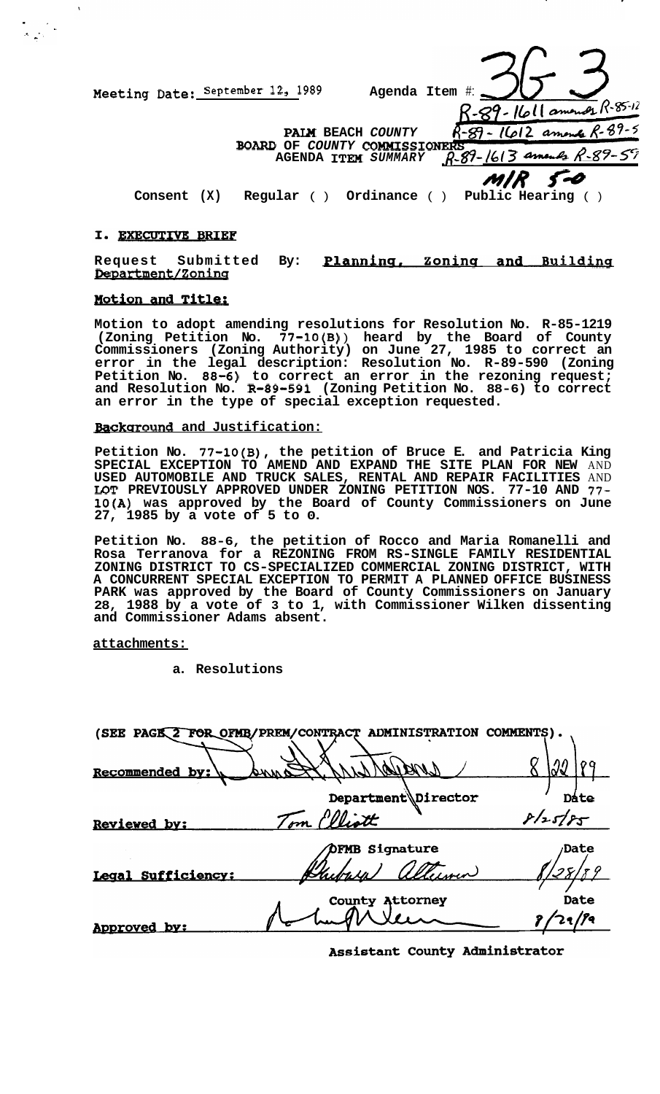Meeting Date: September 12, 1989<br> **RAIM** BEACH COUNTY<br> **RAIM** BEACH COUNTY<br> **RAGENDA ITEM SUM**<br>
CONSENT (X) Regular () Ordina:<br> **T. EXECUTIVE BRIEF**<br>
Request Submitted By: **Planning**<br> **Request Submitted By: Planning**<br> **Req Meeting Date:** September 12, 1989 *Agenda Item #: R-29- Iloll amonds*  $R$ -85-12 1612 amende R-89-5 **PAM BEACH** *COUNTY*  **BOARD OF COUNTY COMMISSIONERS**<br>**AGENDA ITEM** SUMMARY  $R-S$ AGENDA **ITEM** SUMMARY  $\beta$ -89- $\frac{1613}{3}$  amends  $M/R$  *F-0*<br>Public Hearing () **Consent (X) Regular ( ) Ordinance ( )** 

 $\overline{\phantom{a}}$ 

**Motion to adopt amending resolutions for Resolution No. R-85-1219 (Zoning Petition No. 77-10(B)** ) **heard by the Board of County Commissioners (Zoning Authority) on June 27, 1985 to correct an error in the legal description: Resolution No. R-89-590 (Zoning Petition No. 88-6) to correct an error in the rezoning request; and Resolution No. R-89-591 (Zoning Petition No. 88-6) to correct an error in the type of special exception requested.** 

**Background and Justification:** 

**Petition No. 77-10(B), the petition of Bruce E. and Patricia King SPECIAL EXCEPTION TO AMEND AND EXPAND THE SITE PLAN FOR NEW** AND **USED AUTOMOBILE AND TRUCK SALES, RENTAL AND REPAIR FACILITIES** AND **IDT PREVIOUSLY APPROVED UNDER ZONING PETITION NOS. 77-10 AND** *77-*  **10(A) was approved by the Board of County Commissioners on June 27, 1985 by a vote of 5 to 0.** 

**Petition No. 88-6, the petition of Rocco and Maria Romanelli and Rosa Terranova for a REZONING FROM RS-SINGLE FAMILY RESIDENTIAL ZONING DISTRICT TO CS-SPECIALIZED COMMERCIAL ZONING DISTRICT, WITH A CONCURRENT SPECIAL EXCEPTION TO PERMIT A PLANNED OFFICE BUSINESS PARK was approved by the Board of County Commissioners on January 28, 1988 by a vote of 3 to 1, with Commissioner Wilken dissenting and Commissioner Adams absent.** 

**attachments:** 

**a. Resolutions** 

| (SEE PAGE 2 FOR OFMB/PREM/CONTRACT | <b>ADMINISTRATI</b><br>OΝ | COMMENTS).  |
|------------------------------------|---------------------------|-------------|
| Recommended by:                    |                           |             |
|                                    | Department\Director       | Dáte        |
| Reviewed by:                       | Tom Elliott               | 8/25/85     |
|                                    | <b>DFMB Signature</b>     | <b>Date</b> |
| Legal Sufficiency:                 | Chibrica                  |             |
|                                    | <b>County Attorney</b>    | Date        |
| Approved by:                       |                           | 29/99       |

Assistant County Administrator